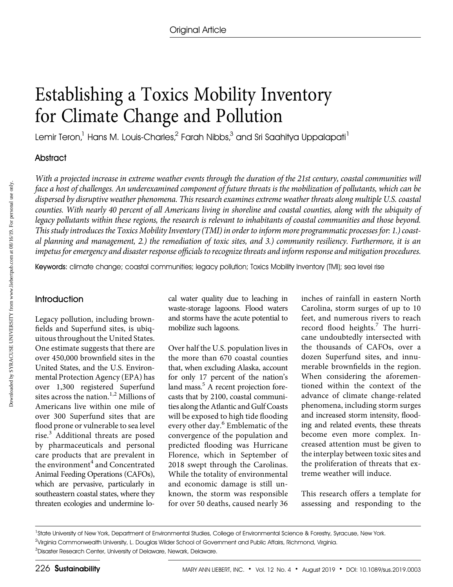# Establishing a Toxics Mobility Inventory for Climate Change and Pollution

Lemir Teron, $1$  Hans M. Louis-Charles, $2$  Farah Nibbs, $3$  and Sri Saahitya Uppalapati $1$ 

### **Abstract**

With a projected increase in extreme weather events through the duration of the 21st century, coastal communities will face a host of challenges. An underexamined component of future threats is the mobilization of pollutants, which can be dispersed by disruptive weather phenomena. This research examines extreme weather threats along multiple U.S. coastal counties. With nearly 40 percent of all Americans living in shoreline and coastal counties, along with the ubiquity of legacy pollutants within these regions, the research is relevant to inhabitants of coastal communities and those beyond. This study introduces the Toxics Mobility Inventory (TMI) in order to inform more programmatic processes for: 1.) coastal planning and management, 2.) the remediation of toxic sites, and 3.) community resiliency. Furthermore, it is an impetus for emergency and disaster response officials to recognize threats and inform response and mitigation procedures.

Keywords: climate change; coastal communities; legacy pollution; Toxics Mobility Inventory (TMI); sea level rise

#### **Introduction**

Legacy pollution, including brownfields and Superfund sites, is ubiquitous throughout the United States. One estimate suggests that there are over 450,000 brownfield sites in the United States, and the U.S. Environmental Protection Agency (EPA) has over 1,300 registered Superfund sites across the nation.<sup>1,2</sup> Millions of Americans live within one mile of over 300 Superfund sites that are flood prone or vulnerable to sea level rise.<sup>3</sup> Additional threats are posed by pharmaceuticals and personal care products that are prevalent in the environment<sup>4</sup> and Concentrated Animal Feeding Operations (CAFOs), which are pervasive, particularly in southeastern coastal states, where they threaten ecologies and undermine local water quality due to leaching in waste-storage lagoons. Flood waters and storms have the acute potential to mobilize such lagoons.

Over half the U.S. population lives in the more than 670 coastal counties that, when excluding Alaska, account for only 17 percent of the nation's land mass.<sup>5</sup> A recent projection forecasts that by 2100, coastal communities along the Atlantic and Gulf Coasts will be exposed to high tide flooding every other day.<sup>6</sup> Emblematic of the convergence of the population and predicted flooding was Hurricane Florence, which in September of 2018 swept through the Carolinas. While the totality of environmental and economic damage is still unknown, the storm was responsible for over 50 deaths, caused nearly 36

inches of rainfall in eastern North Carolina, storm surges of up to 10 feet, and numerous rivers to reach record flood heights.<sup>7</sup> The hurricane undoubtedly intersected with the thousands of CAFOs, over a dozen Superfund sites, and innumerable brownfields in the region. When considering the aforementioned within the context of the advance of climate change-related phenomena, including storm surges and increased storm intensity, flooding and related events, these threats become even more complex. Increased attention must be given to the interplay between toxic sites and the proliferation of threats that extreme weather will induce.

This research offers a template for assessing and responding to the

<sup>&</sup>lt;sup>1</sup>State University of New York, Department of Environmental Studies, College of Environmental Science & Forestry, Syracuse, New York. 2 Virginia Commonwealth University, L. Douglas Wilder School of Government and Public Affairs, Richmond, Virginia. <sup>3</sup>Disaster Research Center, University of Delaware, Newark, Delaware.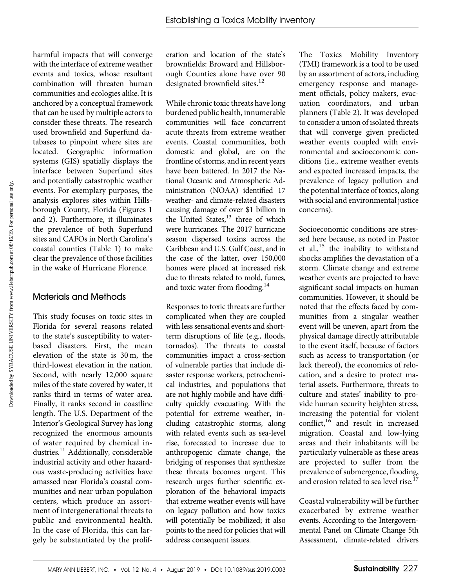harmful impacts that will converge with the interface of extreme weather events and toxics, whose resultant combination will threaten human communities and ecologies alike. It is anchored by a conceptual framework that can be used by multiple actors to consider these threats. The research used brownfield and Superfund databases to pinpoint where sites are located. Geographic information systems (GIS) spatially displays the interface between Superfund sites and potentially catastrophic weather events. For exemplary purposes, the analysis explores sites within Hillsborough County, Florida (Figures 1 and 2). Furthermore, it illuminates the prevalence of both Superfund sites and CAFOs in North Carolina's coastal counties (Table 1) to make clear the prevalence of those facilities in the wake of Hurricane Florence.

### Materials and Methods

This study focuses on toxic sites in Florida for several reasons related to the state's susceptibility to waterbased disasters. First, the mean elevation of the state is 30 m, the third-lowest elevation in the nation. Second, with nearly 12,000 square miles of the state covered by water, it ranks third in terms of water area. Finally, it ranks second in coastline length. The U.S. Department of the Interior's Geological Survey has long recognized the enormous amounts of water required by chemical industries.<sup>11</sup> Additionally, considerable industrial activity and other hazardous waste-producing activities have amassed near Florida's coastal communities and near urban population centers, which produce an assortment of intergenerational threats to public and environmental health. In the case of Florida, this can largely be substantiated by the proliferation and location of the state's brownfields: Broward and Hillsborough Counties alone have over 90 designated brownfield sites.<sup>12</sup>

While chronic toxic threats have long burdened public health, innumerable communities will face concurrent acute threats from extreme weather events. Coastal communities, both domestic and global, are on the frontline of storms, and in recent years have been battered. In 2017 the National Oceanic and Atmospheric Administration (NOAA) identified 17 weather- and climate-related disasters causing damage of over \$1 billion in the United States, $13$  three of which were hurricanes. The 2017 hurricane season dispersed toxins across the Caribbean and U.S. Gulf Coast, and in the case of the latter, over 150,000 homes were placed at increased risk due to threats related to mold, fumes, and toxic water from flooding.<sup>14</sup>

Responses to toxic threats are further complicated when they are coupled with less sensational events and shortterm disruptions of life (e.g., floods, tornados). The threats to coastal communities impact a cross-section of vulnerable parties that include disaster response workers, petrochemical industries, and populations that are not highly mobile and have difficulty quickly evacuating. With the potential for extreme weather, including catastrophic storms, along with related events such as sea-level rise, forecasted to increase due to anthropogenic climate change, the bridging of responses that synthesize these threats becomes urgent. This research urges further scientific exploration of the behavioral impacts that extreme weather events will have on legacy pollution and how toxics will potentially be mobilized; it also points to the need for policies that will address consequent issues.

The Toxics Mobility Inventory (TMI) framework is a tool to be used by an assortment of actors, including emergency response and management officials, policy makers, evacuation coordinators, and urban planners (Table 2). It was developed to consider a union of isolated threats that will converge given predicted weather events coupled with environmental and socioeconomic conditions (i.e., extreme weather events and expected increased impacts, the prevalence of legacy pollution and the potential interface of toxics, along with social and environmental justice concerns).

Socioeconomic conditions are stressed here because, as noted in Pastor et al., $^{15}$  the inability to withstand shocks amplifies the devastation of a storm. Climate change and extreme weather events are projected to have significant social impacts on human communities. However, it should be noted that the effects faced by communities from a singular weather event will be uneven, apart from the physical damage directly attributable to the event itself, because of factors such as access to transportation (or lack thereof), the economics of relocation, and a desire to protect material assets. Furthermore, threats to culture and states' inability to provide human security heighten stress, increasing the potential for violent conflict, $16$  and result in increased migration. Coastal and low-lying areas and their inhabitants will be particularly vulnerable as these areas are projected to suffer from the prevalence of submergence, flooding, and erosion related to sea level rise.<sup>1</sup>

Coastal vulnerability will be further exacerbated by extreme weather events. According to the Intergovernmental Panel on Climate Change 5th Assessment, climate-related drivers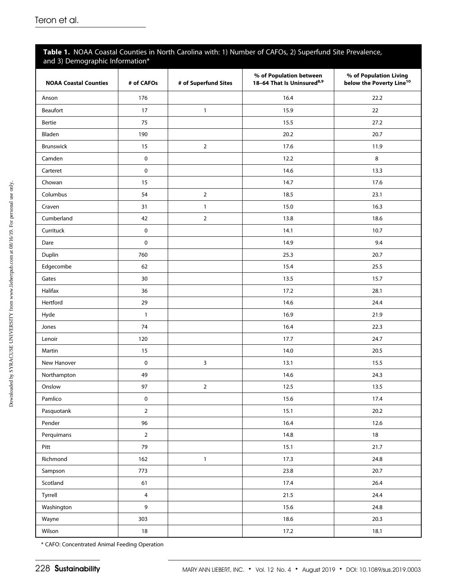| <b>NOAA Coastal Counties</b> | # of CAFOs     | # of Superfund Sites | % of Population between<br>18-64 That Is Uninsured <sup>8,9</sup> | % of Population Living<br>below the Poverty Line <sup>10</sup> |
|------------------------------|----------------|----------------------|-------------------------------------------------------------------|----------------------------------------------------------------|
| Anson                        | 176            |                      | 16.4                                                              | 22.2                                                           |
| Beaufort                     | 17             | $\mathbf{1}$         | 15.9                                                              | 22                                                             |
| Bertie                       | 75             |                      | 15.5                                                              | 27.2                                                           |
| Bladen                       | 190            |                      | 20.2                                                              | 20.7                                                           |
| Brunswick                    | 15             | $\overline{2}$       | 17.6                                                              | 11.9                                                           |
| Camden                       | $\pmb{0}$      |                      | 12.2                                                              | 8                                                              |
| Carteret                     | $\pmb{0}$      |                      | 14.6                                                              | 13.3                                                           |
| Chowan                       | 15             |                      | 14.7                                                              | 17.6                                                           |
| Columbus                     | 54             | $\overline{2}$       | 18.5                                                              | 23.1                                                           |
| Craven                       | 31             | $\mathbf{1}$         | 15.0                                                              | 16.3                                                           |
| Cumberland                   | 42             | $\overline{2}$       | 13.8                                                              | 18.6                                                           |
| Currituck                    | $\mathbf 0$    |                      | 14.1                                                              | 10.7                                                           |
| Dare                         | $\mathbf 0$    |                      | 14.9                                                              | 9.4                                                            |
| Duplin                       | 760            |                      | 25.3                                                              | 20.7                                                           |
| Edgecombe                    | 62             |                      | 15.4                                                              | 25.5                                                           |
| Gates                        | 30             |                      | 13.5                                                              | 15.7                                                           |
| Halifax                      | 36             |                      | 17.2                                                              | 28.1                                                           |
| Hertford                     | 29             |                      | 14.6                                                              | 24.4                                                           |
| Hyde                         | $\mathbf{1}$   |                      | 16.9                                                              | 21.9                                                           |
| Jones                        | 74             |                      | 16.4                                                              | 22.3                                                           |
| Lenoir                       | 120            |                      | 17.7                                                              | 24.7                                                           |
| Martin                       | 15             |                      | 14.0                                                              | 20.5                                                           |
| New Hanover                  | $\mathbf 0$    | 3                    | 13.1                                                              | 15.5                                                           |
| Northampton                  | 49             |                      | 14.6                                                              | 24.3                                                           |
| Onslow                       | 97             | $\overline{2}$       | 12.5                                                              | 13.5                                                           |
| Pamlico                      | $\mathbf 0$    |                      | 15.6                                                              | 17.4                                                           |
| Pasquotank                   | $\overline{2}$ |                      | 15.1                                                              | 20.2                                                           |
| Pender                       | 96             |                      | 16.4                                                              | 12.6                                                           |
| Perquimans                   | $\overline{2}$ |                      | 14.8                                                              | 18                                                             |
| Pitt                         | 79             |                      | 15.1                                                              | 21.7                                                           |
| Richmond                     | 162            | $\mathbf{1}$         | 17.3                                                              | 24.8                                                           |
| Sampson                      | 773            |                      | 23.8                                                              | 20.7                                                           |
| Scotland                     | 61             |                      | 17.4                                                              | 26.4                                                           |
| Tyrrell                      | $\overline{4}$ |                      | 21.5                                                              | 24.4                                                           |
| Washington                   | $\mathsf g$    |                      | 15.6                                                              | 24.8                                                           |
| Wayne                        | 303            |                      | 18.6                                                              | 20.3                                                           |
| Wilson                       | 18             |                      | 17.2                                                              | 18.1                                                           |

\* CAFO: Concentrated Animal Feeding Operation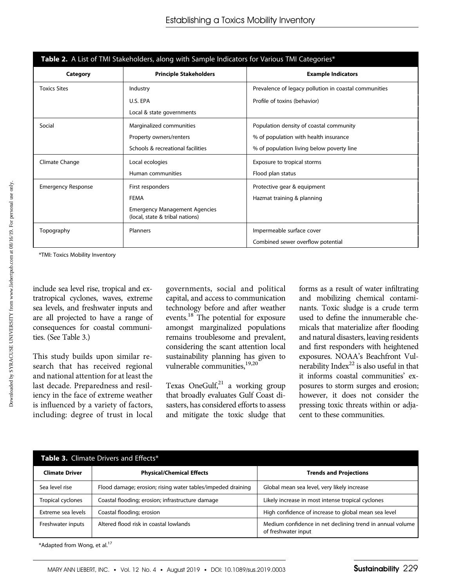| Table 2. A List of TMI Stakeholders, along with Sample Indicators for Various TMI Categories* |                                                                         |                                                       |  |  |  |
|-----------------------------------------------------------------------------------------------|-------------------------------------------------------------------------|-------------------------------------------------------|--|--|--|
| Category                                                                                      | <b>Principle Stakeholders</b>                                           | <b>Example Indicators</b>                             |  |  |  |
| <b>Toxics Sites</b>                                                                           | Industry                                                                | Prevalence of legacy pollution in coastal communities |  |  |  |
|                                                                                               | U.S. EPA                                                                | Profile of toxins (behavior)                          |  |  |  |
|                                                                                               | Local & state governments                                               |                                                       |  |  |  |
| Social                                                                                        | Marginalized communities                                                | Population density of coastal community               |  |  |  |
|                                                                                               | Property owners/renters                                                 | % of population with health insurance                 |  |  |  |
|                                                                                               | Schools & recreational facilities                                       | % of population living below poverty line             |  |  |  |
| Climate Change                                                                                | Local ecologies                                                         | Exposure to tropical storms                           |  |  |  |
|                                                                                               | Human communities                                                       | Flood plan status                                     |  |  |  |
| <b>Emergency Response</b>                                                                     | First responders                                                        | Protective gear & equipment                           |  |  |  |
|                                                                                               | <b>FEMA</b>                                                             | Hazmat training & planning                            |  |  |  |
|                                                                                               | <b>Emergency Management Agencies</b><br>(local, state & tribal nations) |                                                       |  |  |  |
| Topography                                                                                    | Planners                                                                | Impermeable surface cover                             |  |  |  |
|                                                                                               |                                                                         | Combined sewer overflow potential                     |  |  |  |

\*TMI: Toxics Mobility Inventory

include sea level rise, tropical and extratropical cyclones, waves, extreme sea levels, and freshwater inputs and are all projected to have a range of consequences for coastal communities. (See Table 3.)

This study builds upon similar research that has received regional and national attention for at least the last decade. Preparedness and resiliency in the face of extreme weather is influenced by a variety of factors, including: degree of trust in local

governments, social and political capital, and access to communication technology before and after weather events.<sup>18</sup> The potential for exposure amongst marginalized populations remains troublesome and prevalent, considering the scant attention local sustainability planning has given to vulnerable communities,  $^{19,20}$ 

Texas OneGulf, $21$  a working group that broadly evaluates Gulf Coast disasters, has considered efforts to assess and mitigate the toxic sludge that

forms as a result of water infiltrating and mobilizing chemical contaminants. Toxic sludge is a crude term used to define the innumerable chemicals that materialize after flooding and natural disasters, leaving residents and first responders with heightened exposures. NOAA's Beachfront Vulnerability Index<sup>22</sup> is also useful in that it informs coastal communities' exposures to storm surges and erosion; however, it does not consider the pressing toxic threats within or adjacent to these communities.

| Table 3. Climate Drivers and Effects* |                                                             |                                                                                  |  |  |  |
|---------------------------------------|-------------------------------------------------------------|----------------------------------------------------------------------------------|--|--|--|
| <b>Climate Driver</b>                 | <b>Physical/Chemical Effects</b>                            | <b>Trends and Projections</b>                                                    |  |  |  |
| Sea level rise                        | Flood damage; erosion; rising water tables/impeded draining | Global mean sea level, very likely increase                                      |  |  |  |
| Tropical cyclones                     | Coastal flooding; erosion; infrastructure damage            | Likely increase in most intense tropical cyclones                                |  |  |  |
| Extreme sea levels                    | Coastal flooding; erosion                                   | High confidence of increase to global mean sea level                             |  |  |  |
| Freshwater inputs                     | Altered flood risk in coastal lowlands                      | Medium confidence in net declining trend in annual volume<br>of freshwater input |  |  |  |

\*Adapted from Wong, et al.<sup>17</sup>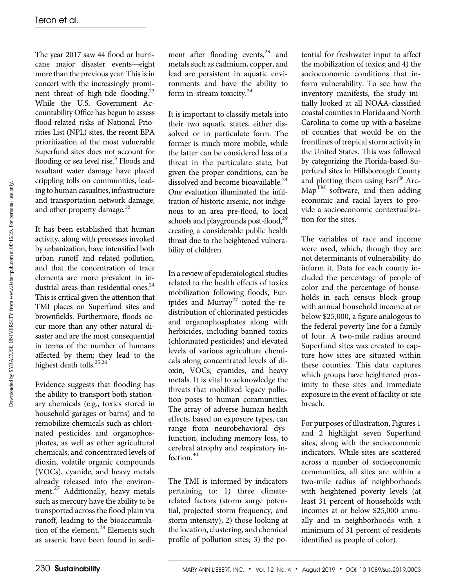The year 2017 saw 44 flood or hurricane major disaster events—eight more than the previous year. This is in concert with the increasingly prominent threat of high-tide flooding.<sup>23</sup> While the U.S. Government Accountability Office has begun to assess flood-related risks of National Priorities List (NPL) sites, the recent EPA prioritization of the most vulnerable Superfund sites does not account for flooding or sea level rise.<sup>3</sup> Floods and resultant water damage have placed crippling tolls on communities, leading to human casualties, infrastructure and transportation network damage, and other property damage.<sup>16</sup>

It has been established that human activity, along with processes invoked by urbanization, have intensified both urban runoff and related pollution, and that the concentration of trace elements are more prevalent in industrial areas than residential ones.<sup>24</sup> This is critical given the attention that TMI places on Superfund sites and brownfields. Furthermore, floods occur more than any other natural disaster and are the most consequential in terms of the number of humans affected by them; they lead to the highest death tolls.<sup>25,26</sup>

Evidence suggests that flooding has the ability to transport both stationary chemicals (e.g., toxics stored in household garages or barns) and to remobilize chemicals such as chlorinated pesticides and organophosphates, as well as other agricultural chemicals, and concentrated levels of dioxin, volatile organic compounds (VOCs), cyanide, and heavy metals already released into the environment.<sup>27</sup> Additionally, heavy metals such as mercury have the ability to be transported across the flood plain via runoff, leading to the bioaccumulation of the element.<sup>28</sup> Elements such as arsenic have been found in sediment after flooding events,<sup>29</sup> and metals such as cadmium, copper, and lead are persistent in aquatic environments and have the ability to form in-stream toxicity.<sup>24</sup>

It is important to classify metals into their two aquatic states, either dissolved or in particulate form. The former is much more mobile, while the latter can be considered less of a threat in the particulate state, but given the proper conditions, can be dissolved and become bioavailable.<sup>24</sup> One evaluation illuminated the infiltration of historic arsenic, not indigenous to an area pre-flood, to local schools and playgrounds post-flood,<sup>29</sup> creating a considerable public health threat due to the heightened vulnerability of children.

In a review of epidemiological studies related to the health effects of toxics mobilization following floods, Euripides and Murray<sup>27</sup> noted the redistribution of chlorinated pesticides and organophosphates along with herbicides, including banned toxics (chlorinated pesticides) and elevated levels of various agriculture chemicals along concentrated levels of dioxin, VOCs, cyanides, and heavy metals. It is vital to acknowledge the threats that mobilized legacy pollution poses to human communities. The array of adverse human health effects, based on exposure types, can range from neurobehavioral dysfunction, including memory loss, to cerebral atrophy and respiratory infection.30

The TMI is informed by indicators pertaining to: 1) three climaterelated factors (storm surge potential, projected storm frequency, and storm intensity); 2) those looking at the location, clustering, and chemical profile of pollution sites; 3) the po-

tential for freshwater input to affect the mobilization of toxics; and 4) the socioeconomic conditions that inform vulnerability. To see how the inventory manifests, the study initially looked at all NOAA-classified coastal counties in Florida and North Carolina to come up with a baseline of counties that would be on the frontlines of tropical storm activity in the United States. This was followed by categorizing the Florida-based Superfund sites in Hillsborough County and plotting them using  $\text{E}\text{sri}^{\circledR}$  Arc- $\mu$ <sub>T</sub>  $\mu$ <sub>Map</sub>T<sub>M</sub> software, and then adding economic and racial layers to provide a socioeconomic contextualization for the sites.

The variables of race and income were used, which, though they are not determinants of vulnerability, do inform it. Data for each county included the percentage of people of color and the percentage of households in each census block group with annual household income at or below \$25,000, a figure analogous to the federal poverty line for a family of four. A two-mile radius around Superfund sites was created to capture how sites are situated within these counties. This data captures which groups have heightened proximity to these sites and immediate exposure in the event of facility or site breach.

For purposes of illustration, Figures 1 and 2 highlight seven Superfund sites, along with the socioeconomic indicators. While sites are scattered across a number of socioeconomic communities, all sites are within a two-mile radius of neighborhoods with heightened poverty levels (at least 31 percent of households with incomes at or below \$25,000 annually and in neighborhoods with a minimum of 31 percent of residents identified as people of color).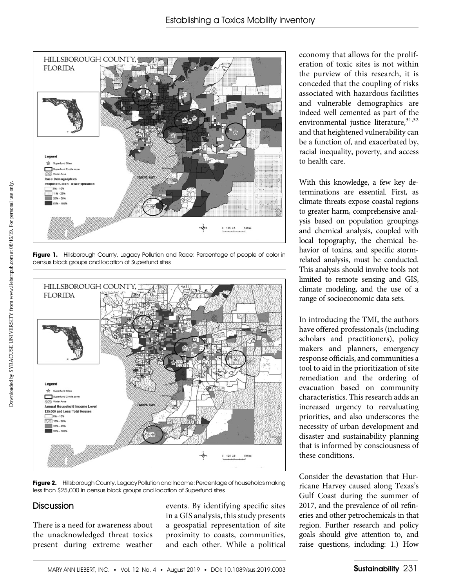

Figure 1. Hillsborough County, Legacy Pollution and Race: Percentage of people of color in census block groups and location of Superfund sites



Figure 2. Hillsborough County, Legacy Pollution and Income: Percentage of households making less than \$25,000 in census block groups and location of Superfund sites

### **Discussion**

There is a need for awareness about the unacknowledged threat toxics present during extreme weather events. By identifying specific sites in a GIS analysis, this study presents a geospatial representation of site proximity to coasts, communities, and each other. While a political

economy that allows for the proliferation of toxic sites is not within the purview of this research, it is conceded that the coupling of risks associated with hazardous facilities and vulnerable demographics are indeed well cemented as part of the environmental justice literature, 31,32 and that heightened vulnerability can be a function of, and exacerbated by, racial inequality, poverty, and access to health care.

With this knowledge, a few key determinations are essential. First, as climate threats expose coastal regions to greater harm, comprehensive analysis based on population groupings and chemical analysis, coupled with local topography, the chemical behavior of toxins, and specific stormrelated analysis, must be conducted. This analysis should involve tools not limited to remote sensing and GIS, climate modeling, and the use of a range of socioeconomic data sets.

In introducing the TMI, the authors have offered professionals (including scholars and practitioners), policy makers and planners, emergency response officials, and communities a tool to aid in the prioritization of site remediation and the ordering of evacuation based on community characteristics. This research adds an increased urgency to reevaluating priorities, and also underscores the necessity of urban development and disaster and sustainability planning that is informed by consciousness of these conditions.

Consider the devastation that Hurricane Harvey caused along Texas's Gulf Coast during the summer of 2017, and the prevalence of oil refineries and other petrochemicals in that region. Further research and policy goals should give attention to, and raise questions, including: 1.) How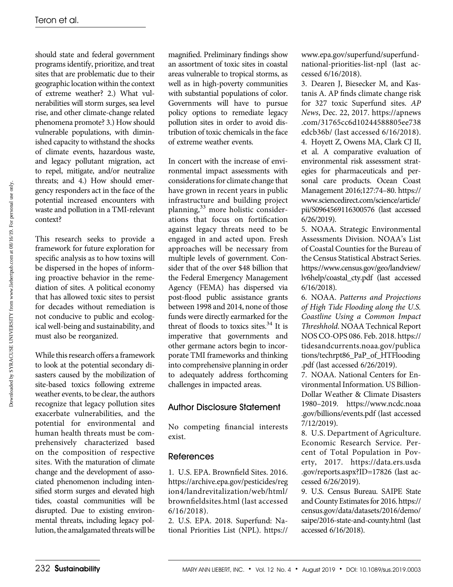should state and federal government programs identify, prioritize, and treat sites that are problematic due to their geographic location within the context of extreme weather? 2.) What vulnerabilities will storm surges, sea level rise, and other climate-change related phenomena promote? 3.) How should vulnerable populations, with diminished capacity to withstand the shocks of climate events, hazardous waste, and legacy pollutant migration, act to repel, mitigate, and/or neutralize threats; and 4.) How should emergency responders act in the face of the potential increased encounters with waste and pollution in a TMI-relevant context?

This research seeks to provide a framework for future exploration for specific analysis as to how toxins will be dispersed in the hopes of informing proactive behavior in the remediation of sites. A political economy that has allowed toxic sites to persist for decades without remediation is not conducive to public and ecological well-being and sustainability, and must also be reorganized.

While this research offers a framework to look at the potential secondary disasters caused by the mobilization of site-based toxics following extreme weather events, to be clear, the authors recognize that legacy pollution sites exacerbate vulnerabilities, and the potential for environmental and human health threats must be comprehensively characterized based on the composition of respective sites. With the maturation of climate change and the development of associated phenomenon including intensified storm surges and elevated high tides, coastal communities will be disrupted. Due to existing environmental threats, including legacy pollution, the amalgamated threats will be

magnified. Preliminary findings show an assortment of toxic sites in coastal areas vulnerable to tropical storms, as well as in high-poverty communities with substantial populations of color. Governments will have to pursue policy options to remediate legacy pollution sites in order to avoid distribution of toxic chemicals in the face of extreme weather events.

In concert with the increase of environmental impact assessments with considerations for climate change that have grown in recent years in public infrastructure and building project planning,  $33$  more holistic considerations that focus on fortification against legacy threats need to be engaged in and acted upon. Fresh approaches will be necessary from multiple levels of government. Consider that of the over \$48 billion that the Federal Emergency Management Agency (FEMA) has dispersed via post-flood public assistance grants between 1998 and 2014, none of those funds were directly earmarked for the threat of floods to toxics sites.<sup>34</sup> It is imperative that governments and other germane actors begin to incorporate TMI frameworks and thinking into comprehensive planning in order to adequately address forthcoming challenges in impacted areas.

## Author Disclosure Statement

No competing financial interests exist.

## **References**

1. U.S. EPA. Brownfield Sites. 2016. https://archive.epa.gov/pesticides/reg ion4/landrevitalization/web/html/ brownfieldsites.html (last accessed 6/16/2018).

2. U.S. EPA. 2018. Superfund: National Priorities List (NPL). https:// www.epa.gov/superfund/superfundnational-priorities-list-npl (last accessed 6/16/2018).

3. Dearen J, Biesecker M, and Kastanis A. AP finds climate change risk for 327 toxic Superfund sites. AP News, Dec. 22, 2017. https://apnews .com/31765cc6d10244588805ee738 edcb36b/ (last accessed 6/16/2018). 4. Hoyett Z, Owens MA, Clark CJ II, et al. A comparative evaluation of environmental risk assessment strategies for pharmaceuticals and personal care products. Ocean Coast Management 2016;127:74–80. https:// www.sciencedirect.com/science/article/ pii/S0964569116300576 (last accessed 6/26/2019).

5. NOAA. Strategic Environmental Assessments Division. NOAA's List of Coastal Counties for the Bureau of the Census Statistical Abstract Series. https://www.census.gov/geo/landview/ lv6help/coastal\_cty.pdf (last accessed 6/16/2018).

6. NOAA. Patterns and Projections of High Tide Flooding along the U.S. Coastline Using a Common Impact Threshhold. NOAA Technical Report NOS CO-OPS 086. Feb. 2018. https:// tidesandcurrents.noaa.gov/publica tions/techrpt86\_PaP\_of\_HTFlooding .pdf (last accessed 6/26/2019).

7. NOAA. National Centers for Environmental Information. US Billion-Dollar Weather & Climate Disasters 1980–2019. https://www.ncdc.noaa .gov/billions/events.pdf (last accessed 7/12/2019).

8. U.S. Department of Agriculture. Economic Research Service. Percent of Total Population in Poverty, 2017. https://data.ers.usda .gov/reports.aspx?ID=17826 (last accessed 6/26/2019).

9. U.S. Census Bureau. SAIPE State and County Estimates for 2016. https:// census.gov/data/datasets/2016/demo/ saipe/2016-state-and-county.html (last accessed 6/16/2018).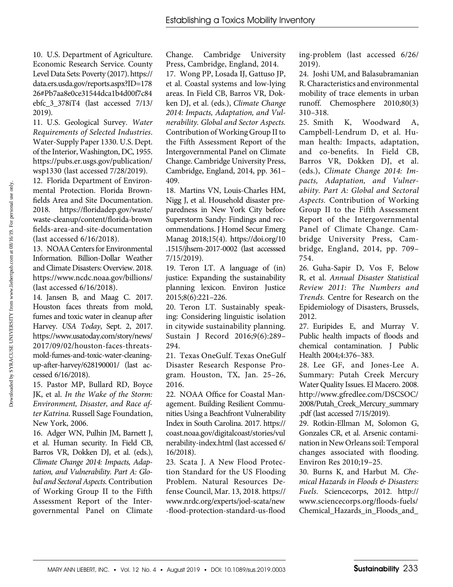10. U.S. Department of Agriculture. Economic Research Service. County Level Data Sets: Poverty (2017). https:// data.ers.usda.gov/reports.aspx?ID=178 26#Pb7aa8e0ce31544dca1b4d00f7c84 ebfc\_3\_378iT4 (last accessed 7/13/ 2019).

11. U.S. Geological Survey. Water Requirements of Selected Industries. Water-Supply Paper 1330. U.S. Dept. of the Interior, Washington, DC, 1955. https://pubs.er.usgs.gov/publication/ wsp1330 (last accessed 7/28/2019).

12. Florida Department of Environmental Protection. Florida Brownfields Area and Site Documentation. 2018. https://floridadep.gov/waste/ waste-cleanup/content/florida-brown fields-area-and-site-documentation (last accessed 6/16/2018).

13. NOAA Centers for Environmental Information. Billion-Dollar Weather and Climate Disasters: Overview. 2018. https://www.ncdc.noaa.gov/billions/ (last accessed 6/16/2018).

14. Jansen B, and Maag C. 2017. Houston faces threats from mold, fumes and toxic water in cleanup after Harvey. USA Today, Sept. 2, 2017. https://www.usatoday.com/story/news/ 2017/09/02/houston-faces-threatsmold-fumes-and-toxic-water-cleaningup-after-harvey/628190001/ (last accessed 6/16/2018).

15. Pastor MP, Bullard RD, Boyce JK, et al. In the Wake of the Storm: Environment, Disaster, and Race after Katrina. Russell Sage Foundation, New York, 2006.

16. Adger WN, Pulhin JM, Barnett J, et al. Human security. In Field CB, Barros VR, Dokken DJ, et al. (eds.), Climate Change 2014: Impacts, Adaptation, and Vulnerability. Part A: Global and Sectoral Aspects. Contribution of Working Group II to the Fifth Assessment Report of the Intergovernmental Panel on Climate Change. Cambridge University Press, Cambridge, England, 2014.

17. Wong PP, Losada IJ, Gattuso JP, et al. Coastal systems and low-lying areas. In Field CB, Barros VR, Dokken DJ, et al. (eds.), Climate Change 2014: Impacts, Adaptation, and Vulnerability. Global and Sector Aspects. Contribution of Working Group II to the Fifth Assessment Report of the Intergovernmental Panel on Climate Change. Cambridge University Press, Cambridge, England, 2014, pp. 361– 409.

18. Martins VN, Louis-Charles HM, Nigg J, et al. Household disaster preparedness in New York City before Superstorm Sandy: Findings and recommendations. J Homel Secur Emerg Manag 2018;15(4). https://doi.org/10 .1515/jhsem-2017-0002 (last accesssed 7/15/2019).

19. Teron LT. A language of (in) justice: Expanding the sustainability planning lexicon. Environ Justice 2015;8(6):221–226.

20. Teron LT. Sustainably speaking: Considering linguistic isolation in citywide sustainability planning. Sustain J Record 2016;9(6):289– 294.

21. Texas OneGulf. Texas OneGulf Disaster Research Response Program. Houston, TX, Jan. 25–26, 2016.

22. NOAA Office for Coastal Management. Building Resilient Communities Using a Beachfront Vulnerability Index in South Carolina. 2017. https:// coast.noaa.gov/digitalcoast/stories/vul nerability-index.html (last accessed 6/ 16/2018).

23. Scata J. A New Flood Protection Standard for the US Flooding Problem. Natural Resources Defense Council, Mar. 13, 2018. https:// www.nrdc.org/experts/joel-scata/new -flood-protection-standard-us-flood

ing-problem (last accessed 6/26/ 2019).

24. Joshi UM, and Balasubramanian R. Characteristics and environmental mobility of trace elements in urban runoff. Chemosphere 2010;80(3) 310–318.

K, Woodward A, Campbell-Lendrum D, et al. Human health: Impacts, adaptation, and co-benefits. In Field CB, Barros VR, Dokken DJ, et al. (eds.), Climate Change 2014: Impacts, Adaptation, and Vulnerabiity. Part A: Global and Sectoral Aspects. Contribution of Working Group II to the Fifth Assessment Report of the Intergovernmental Panel of Climate Change. Cambridge University Press, Cambridge, England, 2014, pp. 709– 754.

26. Guha-Sapir D, Vos F, Below R, et al. Annual Disaster Statistical Review 2011: The Numbers and Trends. Centre for Research on the Epidemiology of Disasters, Brussels, 2012.

27. Euripides E, and Murray V. Public health impacts of floods and chemical contamination. J Public Health 2004;4:376–383.

28. Lee GF, and Jones-Lee A. Summary: Putah Creek Mercury Water Quality Issues. El Macero. 2008. http://www.gfredlee.com/DSCSOC/ 2008/Putah\_Creek\_Mercury\_summary .pdf (last accessed 7/15/2019).

29. Rotkin-Ellman M, Solomon G, Gonzales CR, et al. Arsenic contamination in New Orleans soil: Temporal changes associated with flooding. Environ Res 2010;19–25.

30. Burns K, and Harbut M. Chemical Hazards in Floods & Disasters: Fuels. Sciencecorps, 2012. http:// www.sciencecorps.org/floods-fuels/ Chemical\_Hazards\_in\_Floods\_and\_